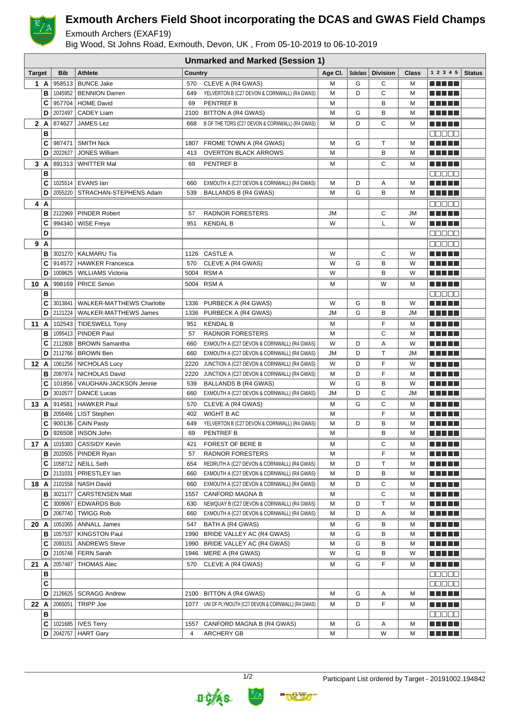

## **Exmouth Archers Field Shoot incorporating the DCAS and GWAS Field Champs**

Exmouth Archers (EXAF19)

Big Wood, St Johns Road, Exmouth, Devon, UK , From 05-10-2019 to 06-10-2019

|               |   | <b>Unmarked and Marked (Session 1)</b> |                                  |         |                                                  |           |                 |                 |           |                           |               |
|---------------|---|----------------------------------------|----------------------------------|---------|--------------------------------------------------|-----------|-----------------|-----------------|-----------|---------------------------|---------------|
| <b>Target</b> |   | <b>Bib</b>                             | <b>Athlete</b>                   | Country |                                                  | Age CI.   | <b>Subclass</b> | <b>Division</b> | Class     | 1 2 3 4 5                 | <b>Status</b> |
| 1 A           |   | 958513                                 | <b>BUNCE Jake</b>                | 570     | CLEVE A (R4 GWAS)                                | М         | G               | С               | M         | n di Titolo               |               |
|               | B | 1045952                                | <b>BENNION Darren</b>            | 649     | YELVERTON B (C27 DEVON & CORNWALL) (R4 GWAS)     | М         | D               | С               | м         |                           |               |
|               | C | 957704                                 | <b>HOME David</b>                | 69      | <b>PENTREF B</b>                                 | М         |                 | в               | м         | ma matsa                  |               |
|               | D | 2072497                                | <b>CADEY Liam</b>                |         | 2100 BITTON A (R4 GWAS)                          | М         | G               | B               | M         | n Ali He                  |               |
| 2 A           |   | 874627                                 | <b>JAMES Lez</b>                 | 668     | B OF THE TORS (C27 DEVON & CORNWALL) (R4 GWAS)   | М         | D               | С               | м         | MA MARI                   |               |
|               | В |                                        |                                  |         |                                                  |           |                 |                 |           | n din sa                  |               |
|               | C | 987471                                 | <b>SMITH Nick</b>                | 1807    | FROME TOWN A (R4 GWAS)                           | М         | G               | T               | M         | n na mats                 |               |
|               | D | 2022627                                | <b>JONES William</b>             | 413     | <b>OVERTON BLACK ARROWS</b>                      | М         |                 | B               | M         | n di Titolo               |               |
| 3 A           |   |                                        | 891313   WHITTER Mal             | 69      | <b>PENTREF B</b>                                 | М         |                 | С               | м         |                           |               |
|               | В |                                        |                                  |         |                                                  |           |                 |                 |           | 88888                     |               |
|               | C |                                        | 1025514   EVANS Ian              | 660     | EXMOUTH A (C27 DEVON & CORNWALL) (R4 GWAS)       | М         | D               | Α               | M         | MA MARI                   |               |
|               | D | 2055220                                | STRACHAN-STEPHENS Adam           | 539     | <b>BALLANDS B (R4 GWAS)</b>                      | М         | G               | в               | M         | <u> El El E</u> le        |               |
| 4 A           |   |                                        |                                  |         |                                                  |           |                 |                 |           |                           |               |
|               | в |                                        | 2122969   PINDER Robert          | 57      | <b>RADNOR FORESTERS</b>                          | <b>JM</b> |                 | С               | <b>JM</b> | n di Titolo               |               |
|               | C | 994340                                 | WISE Freya                       | 951     | <b>KENDAL B</b>                                  | W         |                 | Г               | W         | ma matsa                  |               |
|               | D |                                        |                                  |         |                                                  |           |                 |                 |           | <b>REBEE</b>              |               |
| 9 A           |   |                                        |                                  |         |                                                  |           |                 |                 |           | 88888                     |               |
|               | в |                                        | 3021270   KALMARU Tia            |         | 1126 CASTLE A                                    | W         |                 | С               | W         | .                         |               |
|               | C | 914572                                 | <b>HAWKER Francesca</b>          | 570     | CLEVE A (R4 GWAS)                                | W         | G               | B               | W         | n di Titolo               |               |
|               | D |                                        | 1009625   WILLIAMS Victoria      |         | 5004 RSM A                                       | W         |                 | B               | W         |                           |               |
| 10 A          |   | 998169                                 | <b>PRICE Simon</b>               |         | 5004 RSM A                                       | М         |                 | W               | М         | n di Titolo               |               |
|               | В |                                        |                                  |         |                                                  |           |                 |                 |           | ME E E E                  |               |
|               | C | 3013841                                | <b>WALKER-MATTHEWS Charlotte</b> |         | 1336 PURBECK A (R4 GWAS)                         | W         | G               | в               | W         | N E HE H                  |               |
|               | D |                                        | 2121224   WALKER-MATTHEWS James  |         | 1336 PURBECK A (R4 GWAS)                         | JM        | G               | B               | JМ        | ME E E E                  |               |
| 11A           |   |                                        | 102543   TIDESWELL Tony          | 951     | <b>KENDAL B</b>                                  | м         |                 | F               | м         | e e e e e                 |               |
|               | В |                                        | 1095413   PINDER Paul            | 57      | RADNOR FORESTERS                                 | M         |                 | C               | M         |                           |               |
|               | C |                                        | 2112808   BROWN Samantha         | 660     | EXMOUTH A (C27 DEVON & CORNWALL) (R4 GWAS)       | W         | D               | А               | W         |                           |               |
|               | D |                                        | 2112766   BROWN Ben              | 660     | EXMOUTH A (C27 DEVON & CORNWALL) (R4 GWAS)       | <b>JM</b> | D               | T               | <b>JM</b> | n din ka                  |               |
| 12 A          |   | 1061256                                | NICHOLAS Lucy                    | 2220    | JUNCTION A (C27 DEVON & CORNWALL) (R4 GWAS)      | W         | D               | F               | W         |                           |               |
|               | в |                                        | 2087974   NICHOLAS David         | 2220    | JUNCTION A (C27 DEVON & CORNWALL) (R4 GWAS)      | М         | D               | F               | M         | n din ka                  |               |
|               | C |                                        | 101856   VAUGHAN-JACKSON Jennie  | 539     | BALLANDS B (R4 GWAS)                             | W         | G               | B               | W         | n di Titolo               |               |
|               | D | 3010577                                | <b>DANCE Lucas</b>               | 660     | EXMOUTH A (C27 DEVON & CORNWALL) (R4 GWAS)       | <b>JM</b> | D               | С               | JМ        | <u> El El E</u> le        |               |
| 13 A          |   | 914581                                 | HAWKER Paul                      | 570     | CLEVE A (R4 GWAS)                                | М         | G               | С               | M         | ma matsa                  |               |
|               | В | 2056466                                | <b>LIST Stephen</b>              | 402     | WIGHT B AC                                       | М         |                 | F               | м         | <u> El El E</u> le        |               |
|               | C | 900136                                 | <b>CAIN Pasty</b>                | 649     | YELVERTON B (C27 DEVON & CORNWALL) (R4 GWAS)     | М         | D               | B               | M         | MA MPLE                   |               |
|               | D |                                        | 926508   INSON John              | 69      | <b>PENTREF B</b>                                 | M         |                 | B               | M         | n di Titolo               |               |
| 17 A          |   |                                        | 1015383   CASSIDY Kevin          | 421     | FOREST OF BERE B                                 | М         |                 | С               | M         | <u> Literatur</u>         |               |
|               | в | 2020505                                | PINDER Ryan                      | 57      | RADNOR FORESTERS                                 | М         |                 | F               | M         | <u> Literatur</u>         |               |
|               | C |                                        | 1058712 NEILL Seth               | 654     | REDRUTH A (C27 DEVON & CORNWALL) (R4 GWAS)       | М         | D               | Т               | M         | <u> El Bell</u>           |               |
|               | D |                                        | 2131031   PRIESTLEY Ian          | 660     | EXMOUTH A (C27 DEVON & CORNWALL) (R4 GWAS)       | М         | D               | В               | M         | <u> Listo Lit</u>         |               |
| 18 A          |   |                                        | 2101558   NASH David             | 660     | EXMOUTH A (C27 DEVON & CORNWALL) (R4 GWAS)       | М         | D               | С               | м         | <u> Literatur</u>         |               |
|               | в | 3021177                                | <b>CARSTENSEN Matt</b>           | 1557    | CANFORD MAGNA B                                  | М         |                 | С               | M         | <u> Literatur</u>         |               |
|               | C |                                        | 3009067 EDWARDS Bob              | 630     | NEWQUAY B (C27 DEVON & CORNWALL) (R4 GWAS)       | М         | D               | Τ               | м         | N E HE H                  |               |
|               | D |                                        | 2067740   TWIGG Rob              | 660     | EXMOUTH A (C27 DEVON & CORNWALL) (R4 GWAS)       | М         | D               | Α               | M         | ME DE L                   |               |
| 20 A          |   |                                        | 1051065   ANNALL James           | 547     | BATH A (R4 GWAS)                                 | М         | G               | В               | м         | <u> Listo Lit</u>         |               |
|               | в | 1057537                                | KINGSTON Paul                    |         | 1990 BRIDE VALLEY AC (R4 GWAS)                   | М         | G               | B               | M         | MA MARIT                  |               |
|               | С |                                        | 2093151   ANDREWS Steve          |         | 1990 BRIDE VALLEY AC (R4 GWAS)                   | М         | G               | В               | M         | <u> Literatur</u>         |               |
|               | D |                                        | 2105748   FERN Sarah             |         | 1946 MERE A (R4 GWAS)                            | W         | G               | в               | W         | <u> Literatura de la </u> |               |
| 21 A          |   | 2057487                                | <b>THOMAS Alec</b>               | 570     | CLEVE A (R4 GWAS)                                | м         | G               | F               | м         | N E HE H                  |               |
|               | в |                                        |                                  |         |                                                  |           |                 |                 |           | <b>nasas</b>              |               |
|               | C |                                        |                                  |         |                                                  |           |                 |                 |           | anaan                     |               |
|               | D | 2126625                                | <b>SCRAGG Andrew</b>             | 2100    | BITTON A (R4 GWAS)                               | М         | G               | Α               | м         | <u> Literatur</u>         |               |
| 22 A          |   | 2065051                                | <b>TRIPP Joe</b>                 | 1077    | UNI OF PLYMOUTH (C27 DEVON & CORNWALL) (R4 GWAS) | м         | D               | F               | м         | e de la politik           |               |
|               | в |                                        |                                  |         |                                                  |           |                 |                 |           | 88888                     |               |
|               | C |                                        | 1021685   IVES Terry             | 1557    | CANFORD MAGNA B (R4 GWAS)                        | м         | G               | Α               | М         | <u> Literatur</u>         |               |
|               | D | 2042757                                | <b>HART Gary</b>                 | 4       | <b>ARCHERY GB</b>                                | м         |                 | W               | М         | <u> Literatur</u>         |               |